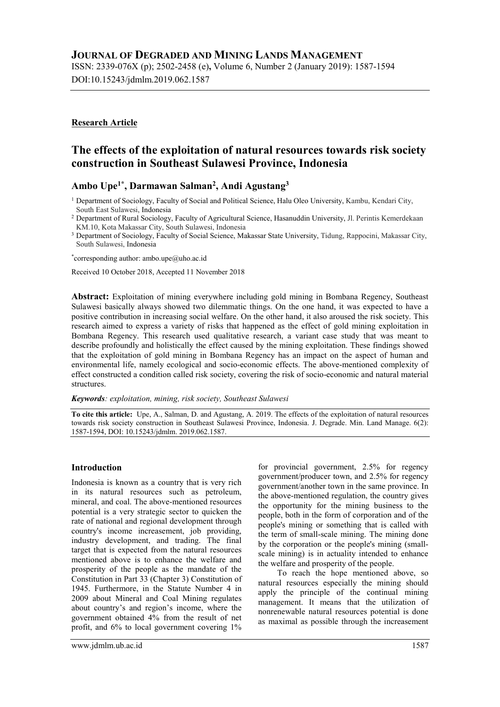# JOURNAL OF DEGRADED AND MINING LANDS MANAGEMENT

ISSN: 2339-076X (p); 2502-2458 (e), Volume 6, Number 2 (January 2019): 1587-1594 DOI:10.15243/jdmlm.2019.062.1587

### Research Article

# The effects of the exploitation of natural resources towards risk society construction in Southeast Sulawesi Province, Indonesia

### Ambo Upe<sup>1\*</sup>, Darmawan Salman<sup>2</sup>, Andi Agustang<sup>3</sup>

<sup>1</sup> Department of Sociology, Faculty of Social and Political Science, Halu Oleo University, Kambu, Kendari City, South East Sulawesi, Indonesia

<sup>2</sup> Department of Rural Sociology, Faculty of Agricultural Science, Hasanuddin University, Jl. Perintis Kemerdekaan KM.10, Kota Makassar City, South Sulawesi, Indonesia

<sup>3</sup> Department of Sociology, Faculty of Social Science, Makassar State University, Tidung, Rappocini, Makassar City, South Sulawesi, Indonesia

\*corresponding author: ambo.upe@uho.ac.id

Received 10 October 2018, Accepted 11 November 2018

Abstract: Exploitation of mining everywhere including gold mining in Bombana Regency, Southeast Sulawesi basically always showed two dilemmatic things. On the one hand, it was expected to have a positive contribution in increasing social welfare. On the other hand, it also aroused the risk society. This research aimed to express a variety of risks that happened as the effect of gold mining exploitation in Bombana Regency. This research used qualitative research, a variant case study that was meant to describe profoundly and holistically the effect caused by the mining exploitation. These findings showed that the exploitation of gold mining in Bombana Regency has an impact on the aspect of human and environmental life, namely ecological and socio-economic effects. The above-mentioned complexity of effect constructed a condition called risk society, covering the risk of socio-economic and natural material structures.

Keywords: exploitation, mining, risk society, Southeast Sulawesi

To cite this article: Upe, A., Salman, D. and Agustang, A. 2019. The effects of the exploitation of natural resources towards risk society construction in Southeast Sulawesi Province, Indonesia. J. Degrade. Min. Land Manage. 6(2): 1587-1594, DOI: 10.15243/jdmlm. 2019.062.1587.

#### Introduction

Indonesia is known as a country that is very rich in its natural resources such as petroleum, mineral, and coal. The above-mentioned resources potential is a very strategic sector to quicken the rate of national and regional development through country's income increasement, job providing, industry development, and trading. The final target that is expected from the natural resources mentioned above is to enhance the welfare and prosperity of the people as the mandate of the Constitution in Part 33 (Chapter 3) Constitution of 1945. Furthermore, in the Statute Number 4 in 2009 about Mineral and Coal Mining regulates about country's and region's income, where the government obtained 4% from the result of net profit, and 6% to local government covering 1%

for provincial government, 2.5% for regency government/producer town, and 2.5% for regency government/another town in the same province. In the above-mentioned regulation, the country gives the opportunity for the mining business to the people, both in the form of corporation and of the people's mining or something that is called with the term of small-scale mining. The mining done by the corporation or the people's mining (smallscale mining) is in actuality intended to enhance the welfare and prosperity of the people.

To reach the hope mentioned above, so natural resources especially the mining should apply the principle of the continual mining management. It means that the utilization of nonrenewable natural resources potential is done as maximal as possible through the increasement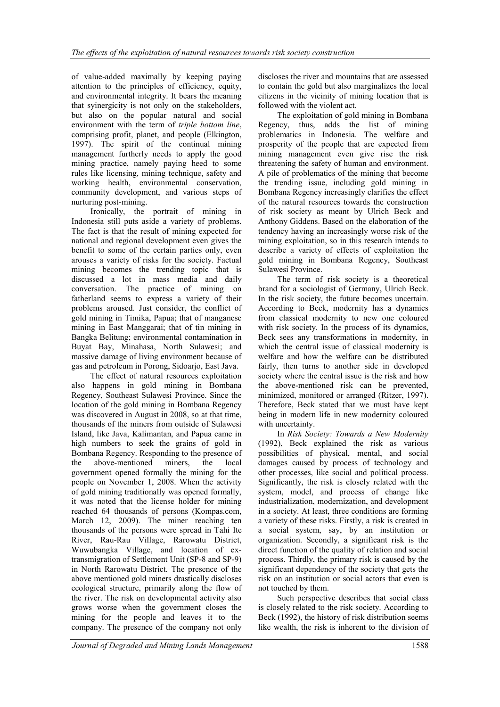of value-added maximally by keeping paying attention to the principles of efficiency, equity, and environmental integrity. It bears the meaning that syinergicity is not only on the stakeholders, but also on the popular natural and social environment with the term of triple bottom line, comprising profit, planet, and people (Elkington, 1997). The spirit of the continual mining management furtherly needs to apply the good mining practice, namely paying heed to some rules like licensing, mining technique, safety and working health, environmental conservation, community development, and various steps of nurturing post-mining.

Ironically, the portrait of mining in Indonesia still puts aside a variety of problems. The fact is that the result of mining expected for national and regional development even gives the benefit to some of the certain parties only, even arouses a variety of risks for the society. Factual mining becomes the trending topic that is discussed a lot in mass media and daily conversation. The practice of mining on fatherland seems to express a variety of their problems aroused. Just consider, the conflict of gold mining in Timika, Papua; that of manganese mining in East Manggarai; that of tin mining in Bangka Belitung; environmental contamination in Buyat Bay, Minahasa, North Sulawesi; and massive damage of living environment because of gas and petroleum in Porong, Sidoarjo, East Java.

The effect of natural resources exploitation also happens in gold mining in Bombana Regency, Southeast Sulawesi Province. Since the location of the gold mining in Bombana Regency was discovered in August in 2008, so at that time, thousands of the miners from outside of Sulawesi Island, like Java, Kalimantan, and Papua came in high numbers to seek the grains of gold in Bombana Regency. Responding to the presence of the above-mentioned miners, the local government opened formally the mining for the people on November 1, 2008. When the activity of gold mining traditionally was opened formally, it was noted that the license holder for mining reached 64 thousands of persons (Kompas.com, March 12, 2009). The miner reaching ten thousands of the persons were spread in Tahi Ite River, Rau-Rau Village, Rarowatu District, Wuwubangka Village, and location of extransmigration of Settlement Unit (SP-8 and SP-9) in North Rarowatu District. The presence of the above mentioned gold miners drastically discloses ecological structure, primarily along the flow of the river. The risk on developmental activity also grows worse when the government closes the mining for the people and leaves it to the company. The presence of the company not only

discloses the river and mountains that are assessed to contain the gold but also marginalizes the local citizens in the vicinity of mining location that is followed with the violent act.

The exploitation of gold mining in Bombana Regency, thus, adds the list of mining problematics in Indonesia. The welfare and prosperity of the people that are expected from mining management even give rise the risk threatening the safety of human and environment. A pile of problematics of the mining that become the trending issue, including gold mining in Bombana Regency increasingly clarifies the effect of the natural resources towards the construction of risk society as meant by Ulrich Beck and Anthony Giddens. Based on the elaboration of the tendency having an increasingly worse risk of the mining exploitation, so in this research intends to describe a variety of effects of exploitation the gold mining in Bombana Regency, Southeast Sulawesi Province.

The term of risk society is a theoretical brand for a sociologist of Germany, Ulrich Beck. In the risk society, the future becomes uncertain. According to Beck, modernity has a dynamics from classical modernity to new one coloured with risk society. In the process of its dynamics, Beck sees any transformations in modernity, in which the central issue of classical modernity is welfare and how the welfare can be distributed fairly, then turns to another side in developed society where the central issue is the risk and how the above-mentioned risk can be prevented, minimized, monitored or arranged (Ritzer, 1997). Therefore, Beck stated that we must have kept being in modern life in new modernity coloured with uncertainty.

In Risk Society: Towards a New Modernity (1992), Beck explained the risk as various possibilities of physical, mental, and social damages caused by process of technology and other processes, like social and political process. Significantly, the risk is closely related with the system, model, and process of change like industrialization, modernization, and development in a society. At least, three conditions are forming a variety of these risks. Firstly, a risk is created in a social system, say, by an institution or organization. Secondly, a significant risk is the direct function of the quality of relation and social process. Thirdly, the primary risk is caused by the significant dependency of the society that gets the risk on an institution or social actors that even is not touched by them.

Such perspective describes that social class is closely related to the risk society. According to Beck (1992), the history of risk distribution seems like wealth, the risk is inherent to the division of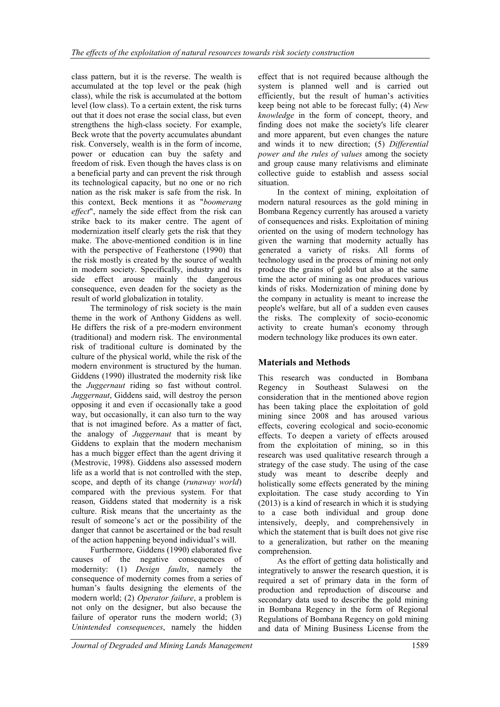class pattern, but it is the reverse. The wealth is accumulated at the top level or the peak (high class), while the risk is accumulated at the bottom level (low class). To a certain extent, the risk turns out that it does not erase the social class, but even strengthens the high-class society. For example, Beck wrote that the poverty accumulates abundant risk. Conversely, wealth is in the form of income, power or education can buy the safety and freedom of risk. Even though the haves class is on a beneficial party and can prevent the risk through its technological capacity, but no one or no rich nation as the risk maker is safe from the risk. In this context, Beck mentions it as "boomerang effect", namely the side effect from the risk can strike back to its maker centre. The agent of modernization itself clearly gets the risk that they make. The above-mentioned condition is in line with the perspective of Featherstone (1990) that the risk mostly is created by the source of wealth in modern society. Specifically, industry and its side effect arouse mainly the dangerous consequence, even deaden for the society as the result of world globalization in totality.

The terminology of risk society is the main theme in the work of Anthony Giddens as well. He differs the risk of a pre-modern environment (traditional) and modern risk. The environmental risk of traditional culture is dominated by the culture of the physical world, while the risk of the modern environment is structured by the human. Giddens (1990) illustrated the modernity risk like the *Juggernaut* riding so fast without control. Juggernaut, Giddens said, will destroy the person opposing it and even if occasionally take a good way, but occasionally, it can also turn to the way that is not imagined before. As a matter of fact, the analogy of *Juggernaut* that is meant by Giddens to explain that the modern mechanism has a much bigger effect than the agent driving it (Mestrovic, 1998). Giddens also assessed modern life as a world that is not controlled with the step, scope, and depth of its change (runaway world) compared with the previous system. For that reason, Giddens stated that modernity is a risk culture. Risk means that the uncertainty as the result of someone's act or the possibility of the danger that cannot be ascertained or the bad result of the action happening beyond individual's will.

Furthermore, Giddens (1990) elaborated five causes of the negative consequences of modernity: (1) Design faults, namely the consequence of modernity comes from a series of human's faults designing the elements of the modern world; (2) Operator failure, a problem is not only on the designer, but also because the failure of operator runs the modern world; (3) Unintended consequences, namely the hidden

effect that is not required because although the system is planned well and is carried out efficiently, but the result of human's activities keep being not able to be forecast fully; (4) New knowledge in the form of concept, theory, and finding does not make the society's life clearer and more apparent, but even changes the nature and winds it to new direction; (5) Differential power and the rules of values among the society and group cause many relativisms and eliminate collective guide to establish and assess social situation.

In the context of mining, exploitation of modern natural resources as the gold mining in Bombana Regency currently has aroused a variety of consequences and risks. Exploitation of mining oriented on the using of modern technology has given the warning that modernity actually has generated a variety of risks. All forms of technology used in the process of mining not only produce the grains of gold but also at the same time the actor of mining as one produces various kinds of risks. Modernization of mining done by the company in actuality is meant to increase the people's welfare, but all of a sudden even causes the risks. The complexity of socio-economic activity to create human's economy through modern technology like produces its own eater.

### Materials and Methods

This research was conducted in Bombana Regency in Southeast Sulawesi on the consideration that in the mentioned above region has been taking place the exploitation of gold mining since 2008 and has aroused various effects, covering ecological and socio-economic effects. To deepen a variety of effects aroused from the exploitation of mining, so in this research was used qualitative research through a strategy of the case study. The using of the case study was meant to describe deeply and holistically some effects generated by the mining exploitation. The case study according to Yin (2013) is a kind of research in which it is studying to a case both individual and group done intensively, deeply, and comprehensively in which the statement that is built does not give rise to a generalization, but rather on the meaning comprehension.

As the effort of getting data holistically and integratively to answer the research question, it is required a set of primary data in the form of production and reproduction of discourse and secondary data used to describe the gold mining in Bombana Regency in the form of Regional Regulations of Bombana Regency on gold mining and data of Mining Business License from the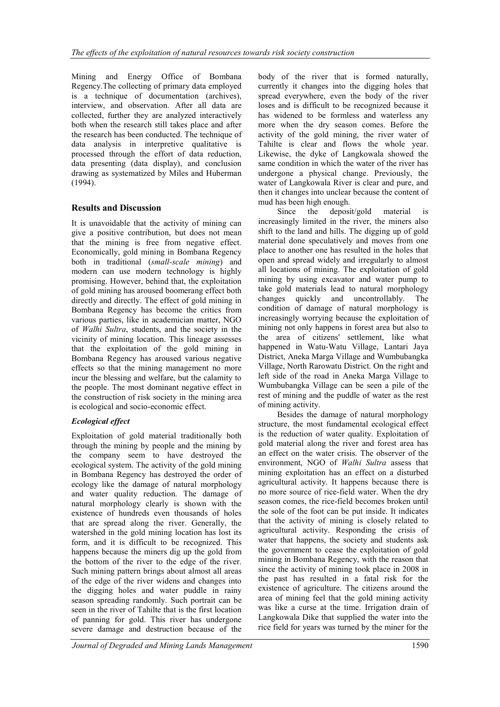Mining and Energy Office of Bombana Regency.The collecting of primary data employed is a technique of documentation (archives), interview, and observation. After all data are collected, further they are analyzed interactively both when the research still takes place and after the research has been conducted. The technique of data analysis in interpretive qualitative is processed through the effort of data reduction, data presenting (data display), and conclusion drawing as systematized by Miles and Huberman (1994).

# Results and Discussion

It is unavoidable that the activity of mining can give a positive contribution, but does not mean that the mining is free from negative effect. Economically, gold mining in Bombana Regency both in traditional (small-scale mining) and modern can use modern technology is highly promising. However, behind that, the exploitation of gold mining has aroused boomerang effect both directly and directly. The effect of gold mining in Bombana Regency has become the critics from various parties, like in academician matter, NGO of Walhi Sultra, students, and the society in the vicinity of mining location. This lineage assesses that the exploitation of the gold mining in Bombana Regency has aroused various negative effects so that the mining management no more incur the blessing and welfare, but the calamity to the people. The most dominant negative effect in the construction of risk society in the mining area is ecological and socio-economic effect.

# Ecological effect

Exploitation of gold material traditionally both through the mining by people and the mining by the company seem to have destroyed the ecological system. The activity of the gold mining in Bombana Regency has destroyed the order of ecology like the damage of natural morphology and water quality reduction. The damage of natural morphology clearly is shown with the existence of hundreds even thousands of holes that are spread along the river. Generally, the watershed in the gold mining location has lost its form, and it is difficult to be recognized. This happens because the miners dig up the gold from the bottom of the river to the edge of the river. Such mining pattern brings about almost all areas of the edge of the river widens and changes into the digging holes and water puddle in rainy season spreading randomly. Such portrait can be seen in the river of Tahilte that is the first location of panning for gold. This river has undergone severe damage and destruction because of the

body of the river that is formed naturally, currently it changes into the digging holes that spread everywhere, even the body of the river loses and is difficult to be recognized because it has widened to be formless and waterless any more when the dry season comes. Before the activity of the gold mining, the river water of Tahilte is clear and flows the whole year. Likewise, the dyke of Langkowala showed the same condition in which the water of the river has undergone a physical change. Previously, the water of Langkowala River is clear and pure, and then it changes into unclear because the content of mud has been high enough.

Since the deposit/gold material is increasingly limited in the river, the miners also shift to the land and hills. The digging up of gold material done speculatively and moves from one place to another one has resulted in the holes that open and spread widely and irregularly to almost all locations of mining. The exploitation of gold mining by using excavator and water pump to take gold materials lead to natural morphology changes quickly and uncontrollably. The condition of damage of natural morphology is increasingly worrying because the exploitation of mining not only happens in forest area but also to the area of citizens' settlement, like what happened in Watu-Watu Village, Lantari Jaya District, Aneka Marga Village and Wumbubangka Village, North Rarowatu District. On the right and left side of the road in Aneka Marga Village to Wumbubangka Village can be seen a pile of the rest of mining and the puddle of water as the rest of mining activity.

Besides the damage of natural morphology structure, the most fundamental ecological effect is the reduction of water quality. Exploitation of gold material along the river and forest area has an effect on the water crisis. The observer of the environment, NGO of Walhi Sultra assess that mining exploitation has an effect on a disturbed agricultural activity. It happens because there is no more source of rice-field water. When the dry season comes, the rice-field becomes broken until the sole of the foot can be put inside. It indicates that the activity of mining is closely related to agricultural activity. Responding the crisis of water that happens, the society and students ask the government to cease the exploitation of gold mining in Bombana Regency, with the reason that since the activity of mining took place in 2008 in the past has resulted in a fatal risk for the existence of agriculture. The citizens around the area of mining feel that the gold mining activity was like a curse at the time. Irrigation drain of Langkowala Dike that supplied the water into the rice field for years was turned by the miner for the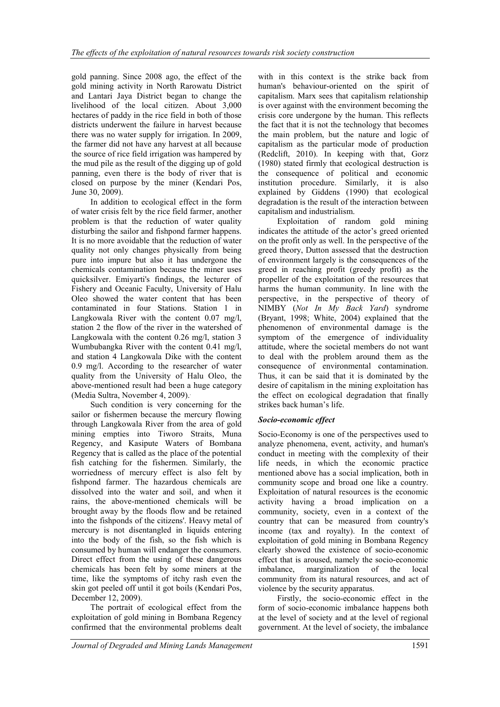gold panning. Since 2008 ago, the effect of the gold mining activity in North Rarowatu District and Lantari Jaya District began to change the livelihood of the local citizen. About 3,000 hectares of paddy in the rice field in both of those districts underwent the failure in harvest because there was no water supply for irrigation. In 2009, the farmer did not have any harvest at all because the source of rice field irrigation was hampered by the mud pile as the result of the digging up of gold panning, even there is the body of river that is closed on purpose by the miner (Kendari Pos, June 30, 2009).

In addition to ecological effect in the form of water crisis felt by the rice field farmer, another problem is that the reduction of water quality disturbing the sailor and fishpond farmer happens. It is no more avoidable that the reduction of water quality not only changes physically from being pure into impure but also it has undergone the chemicals contamination because the miner uses quicksilver. Emiyarti's findings, the lecturer of Fishery and Oceanic Faculty, University of Halu Oleo showed the water content that has been contaminated in four Stations. Station 1 in Langkowala River with the content 0.07 mg/l, station 2 the flow of the river in the watershed of Langkowala with the content 0.26 mg/l, station 3 Wumbubangka River with the content 0.41 mg/l, and station 4 Langkowala Dike with the content 0.9 mg/l. According to the researcher of water quality from the University of Halu Oleo, the above-mentioned result had been a huge category (Media Sultra, November 4, 2009)..

Such condition is very concerning for the sailor or fishermen because the mercury flowing through Langkowala River from the area of gold mining empties into Tiworo Straits, Muna Regency, and Kasipute Waters of Bombana Regency that is called as the place of the potential fish catching for the fishermen. Similarly, the worriedness of mercury effect is also felt by fishpond farmer. The hazardous chemicals are dissolved into the water and soil, and when it rains, the above-mentioned chemicals will be brought away by the floods flow and be retained into the fishponds of the citizens'. Heavy metal of mercury is not disentangled in liquids entering into the body of the fish, so the fish which is consumed by human will endanger the consumers. Direct effect from the using of these dangerous chemicals has been felt by some miners at the time, like the symptoms of itchy rash even the skin got peeled off until it got boils (Kendari Pos, December 12, 2009).

The portrait of ecological effect from the exploitation of gold mining in Bombana Regency confirmed that the environmental problems dealt

with in this context is the strike back from human's behaviour-oriented on the spirit of capitalism. Marx sees that capitalism relationship is over against with the environment becoming the crisis core undergone by the human. This reflects the fact that it is not the technology that becomes the main problem, but the nature and logic of capitalism as the particular mode of production (Redclift, 2010). In keeping with that, Gorz (1980) stated firmly that ecological destruction is the consequence of political and economic institution procedure. Similarly, it is also explained by Giddens (1990) that ecological degradation is the result of the interaction between capitalism and industrialism.

Exploitation of random gold mining indicates the attitude of the actor's greed oriented on the profit only as well. In the perspective of the greed theory, Dutton assessed that the destruction of environment largely is the consequences of the greed in reaching profit (greedy profit) as the propeller of the exploitation of the resources that harms the human community. In line with the perspective, in the perspective of theory of NIMBY (Not In My Back Yard) syndrome (Bryant, 1998; White, 2004) explained that the phenomenon of environmental damage is the symptom of the emergence of individuality attitude, where the societal members do not want to deal with the problem around them as the consequence of environmental contamination. Thus, it can be said that it is dominated by the desire of capitalism in the mining exploitation has the effect on ecological degradation that finally strikes back human's life.

#### Socio-economic effect

Socio-Economy is one of the perspectives used to analyze phenomena, event, activity, and human's conduct in meeting with the complexity of their life needs, in which the economic practice mentioned above has a social implication, both in community scope and broad one like a country. Exploitation of natural resources is the economic activity having a broad implication on a community, society, even in a context of the country that can be measured from country's income (tax and royalty). In the context of exploitation of gold mining in Bombana Regency clearly showed the existence of socio-economic effect that is aroused, namely the socio-economic imbalance, marginalization of the local community from its natural resources, and act of violence by the security apparatus.

Firstly, the socio-economic effect in the form of socio-economic imbalance happens both at the level of society and at the level of regional government. At the level of society, the imbalance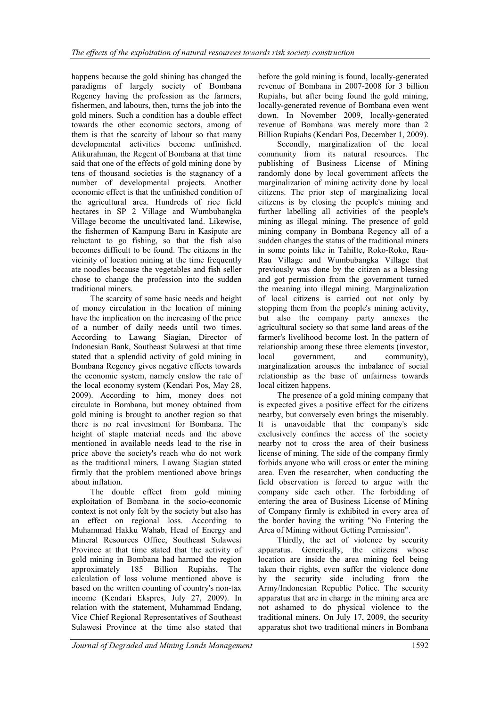happens because the gold shining has changed the paradigms of largely society of Bombana Regency having the profession as the farmers, fishermen, and labours, then, turns the job into the gold miners. Such a condition has a double effect towards the other economic sectors, among of them is that the scarcity of labour so that many developmental activities become unfinished. Atikurahman, the Regent of Bombana at that time said that one of the effects of gold mining done by tens of thousand societies is the stagnancy of a number of developmental projects. Another economic effect is that the unfinished condition of the agricultural area. Hundreds of rice field hectares in SP 2 Village and Wumbubangka Village become the uncultivated land. Likewise, the fishermen of Kampung Baru in Kasipute are reluctant to go fishing, so that the fish also becomes difficult to be found. The citizens in the vicinity of location mining at the time frequently ate noodles because the vegetables and fish seller chose to change the profession into the sudden traditional miners.

The scarcity of some basic needs and height of money circulation in the location of mining have the implication on the increasing of the price of a number of daily needs until two times. According to Lawang Siagian, Director of Indonesian Bank, Southeast Sulawesi at that time stated that a splendid activity of gold mining in Bombana Regency gives negative effects towards the economic system, namely enslow the rate of the local economy system (Kendari Pos, May 28, 2009). According to him, money does not circulate in Bombana, but money obtained from gold mining is brought to another region so that there is no real investment for Bombana. The height of staple material needs and the above mentioned in available needs lead to the rise in price above the society's reach who do not work as the traditional miners. Lawang Siagian stated firmly that the problem mentioned above brings about inflation.

The double effect from gold mining exploitation of Bombana in the socio-economic context is not only felt by the society but also has an effect on regional loss. According to Muhammad Hakku Wahab, Head of Energy and Mineral Resources Office, Southeast Sulawesi Province at that time stated that the activity of gold mining in Bombana had harmed the region approximately 185 Billion Rupiahs. The calculation of loss volume mentioned above is based on the written counting of country's non-tax income (Kendari Ekspres, July 27, 2009). In relation with the statement, Muhammad Endang, Vice Chief Regional Representatives of Southeast Sulawesi Province at the time also stated that

before the gold mining is found, locally-generated revenue of Bombana in 2007-2008 for 3 billion Rupiahs, but after being found the gold mining, locally-generated revenue of Bombana even went down. In November 2009, locally-generated revenue of Bombana was merely more than 2 Billion Rupiahs (Kendari Pos, December 1, 2009).

Secondly, marginalization of the local community from its natural resources. The publishing of Business License of Mining randomly done by local government affects the marginalization of mining activity done by local citizens. The prior step of marginalizing local citizens is by closing the people's mining and further labelling all activities of the people's mining as illegal mining. The presence of gold mining company in Bombana Regency all of a sudden changes the status of the traditional miners in some points like in TahiIte, Roko-Roko, Rau-Rau Village and Wumbubangka Village that previously was done by the citizen as a blessing and got permission from the government turned the meaning into illegal mining. Marginalization of local citizens is carried out not only by stopping them from the people's mining activity, but also the company party annexes the agricultural society so that some land areas of the farmer's livelihood become lost. In the pattern of relationship among these three elements (investor, local government, and community), marginalization arouses the imbalance of social relationship as the base of unfairness towards local citizen happens.

The presence of a gold mining company that is expected gives a positive effect for the citizens nearby, but conversely even brings the miserably. It is unavoidable that the company's side exclusively confines the access of the society nearby not to cross the area of their business license of mining. The side of the company firmly forbids anyone who will cross or enter the mining area. Even the researcher, when conducting the field observation is forced to argue with the company side each other. The forbidding of entering the area of Business License of Mining of Company firmly is exhibited in every area of the border having the writing "No Entering the Area of Mining without Getting Permission".

Thirdly, the act of violence by security apparatus. Generically, the citizens whose location are inside the area mining feel being taken their rights, even suffer the violence done by the security side including from the Army/Indonesian Republic Police. The security apparatus that are in charge in the mining area are not ashamed to do physical violence to the traditional miners. On July 17, 2009, the security apparatus shot two traditional miners in Bombana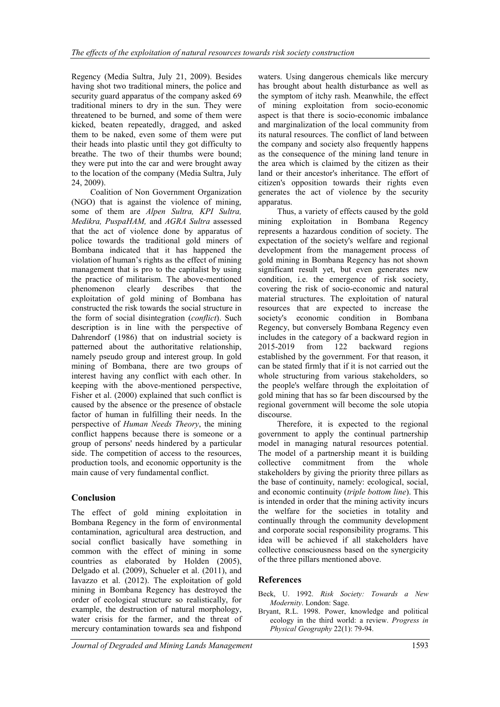Regency (Media Sultra, July 21, 2009). Besides having shot two traditional miners, the police and security guard apparatus of the company asked 69 traditional miners to dry in the sun. They were threatened to be burned, and some of them were kicked, beaten repeatedly, dragged, and asked them to be naked, even some of them were put their heads into plastic until they got difficulty to breathe. The two of their thumbs were bound; they were put into the car and were brought away to the location of the company (Media Sultra, July 24, 2009).

Coalition of Non Government Organization (NGO) that is against the violence of mining, some of them are Alpen Sultra, KPI Sultra, Medikra, PuspaHAM, and AGRA Sultra assessed that the act of violence done by apparatus of police towards the traditional gold miners of Bombana indicated that it has happened the violation of human's rights as the effect of mining management that is pro to the capitalist by using the practice of militarism. The above-mentioned phenomenon clearly describes that the exploitation of gold mining of Bombana has constructed the risk towards the social structure in the form of social disintegration (conflict). Such description is in line with the perspective of Dahrendorf (1986) that on industrial society is patterned about the authoritative relationship, namely pseudo group and interest group. In gold mining of Bombana, there are two groups of interest having any conflict with each other. In keeping with the above-mentioned perspective, Fisher et al. (2000) explained that such conflict is caused by the absence or the presence of obstacle factor of human in fulfilling their needs. In the perspective of Human Needs Theory, the mining conflict happens because there is someone or a group of persons' needs hindered by a particular side. The competition of access to the resources, production tools, and economic opportunity is the main cause of very fundamental conflict.

### Conclusion

The effect of gold mining exploitation in Bombana Regency in the form of environmental contamination, agricultural area destruction, and social conflict basically have something in common with the effect of mining in some countries as elaborated by Holden (2005), Delgado et al. (2009), Schueler et al. (2011), and Iavazzo et al. (2012). The exploitation of gold mining in Bombana Regency has destroyed the order of ecological structure so realistically, for example, the destruction of natural morphology, water crisis for the farmer, and the threat of mercury contamination towards sea and fishpond

waters. Using dangerous chemicals like mercury has brought about health disturbance as well as the symptom of itchy rash. Meanwhile, the effect of mining exploitation from socio-economic aspect is that there is socio-economic imbalance and marginalization of the local community from its natural resources. The conflict of land between the company and society also frequently happens as the consequence of the mining land tenure in the area which is claimed by the citizen as their land or their ancestor's inheritance. The effort of citizen's opposition towards their rights even generates the act of violence by the security apparatus.

Thus, a variety of effects caused by the gold mining exploitation in Bombana Regency represents a hazardous condition of society. The expectation of the society's welfare and regional development from the management process of gold mining in Bombana Regency has not shown significant result yet, but even generates new condition, i.e. the emergence of risk society, covering the risk of socio-economic and natural material structures. The exploitation of natural resources that are expected to increase the society's economic condition in Bombana Regency, but conversely Bombana Regency even includes in the category of a backward region in 2015-2019 from 122 backward regions established by the government. For that reason, it can be stated firmly that if it is not carried out the whole structuring from various stakeholders, so the people's welfare through the exploitation of gold mining that has so far been discoursed by the regional government will become the sole utopia discourse.

Therefore, it is expected to the regional government to apply the continual partnership model in managing natural resources potential. The model of a partnership meant it is building collective commitment from the whole stakeholders by giving the priority three pillars as the base of continuity, namely: ecological, social, and economic continuity (triple bottom line). This is intended in order that the mining activity incurs the welfare for the societies in totality and continually through the community development and corporate social responsibility programs. This idea will be achieved if all stakeholders have collective consciousness based on the synergicity of the three pillars mentioned above.

### References

Beck, U. 1992. Risk Society: Towards a New Modernity. London: Sage.

Bryant, R.L. 1998. Power, knowledge and political ecology in the third world: a review. Progress in Physical Geography 22(1): 79-94.

Journal of Degraded and Mining Lands Management 1593